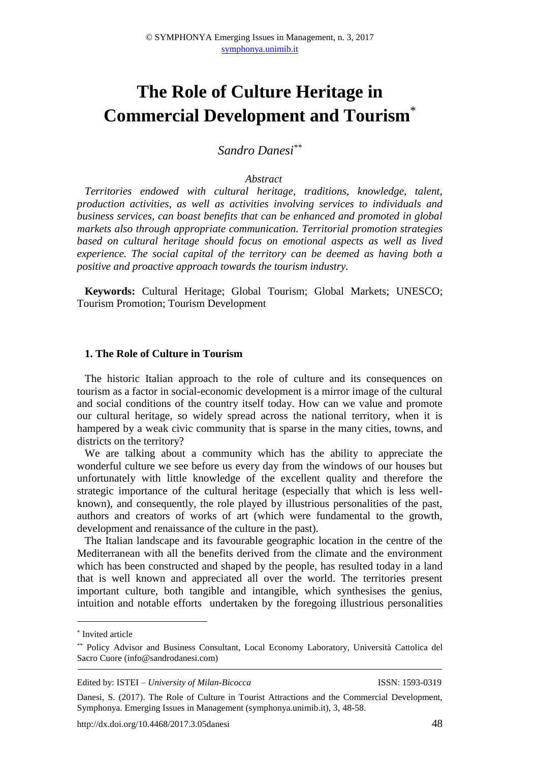# **The Role of Culture Heritage in Commercial Development and Tourism**\*

*Sandro Danesi\*\**

### *Abstract*

*Territories endowed with cultural heritage, traditions, knowledge, talent, production activities, as well as activities involving services to individuals and business services, can boast benefits that can be enhanced and promoted in global markets also through appropriate communication. Territorial promotion strategies*  based on cultural heritage should focus on emotional aspects as well as lived *experience. The social capital of the territory can be deemed as having both a positive and proactive approach towards the tourism industry.*

**Keywords:** Cultural Heritage; Global Tourism; Global Markets; UNESCO; Tourism Promotion; Tourism Development

## **1. The Role of Culture in Tourism**

The historic Italian approach to the role of culture and its consequences on tourism as a factor in social-economic development is a mirror image of the cultural and social conditions of the country itself today. How can we value and promote our cultural heritage, so widely spread across the national territory, when it is hampered by a weak civic community that is sparse in the many cities, towns, and districts on the territory?

We are talking about a community which has the ability to appreciate the wonderful culture we see before us every day from the windows of our houses but unfortunately with little knowledge of the excellent quality and therefore the strategic importance of the cultural heritage (especially that which is less wellknown), and consequently, the role played by illustrious personalities of the past, authors and creators of works of art (which were fundamental to the growth, development and renaissance of the culture in the past).

The Italian landscape and its favourable geographic location in the centre of the Mediterranean with all the benefits derived from the climate and the environment which has been constructed and shaped by the people, has resulted today in a land that is well known and appreciated all over the world. The territories present important culture, both tangible and intangible, which synthesises the genius, intuition and notable efforts undertaken by the foregoing illustrious personalities

**.** 

Edited by: ISTEI – *University of Milan-Bicocca* ISSN: 1593-0319

<sup>\*</sup> Invited article

<sup>\*\*</sup> Policy Advisor and Business Consultant, Local Economy Laboratory, Università Cattolica del Sacro Cuore (info@sandrodanesi.com)

Danesi, S. (2017). The Role of Culture in Tourist Attractions and the Commercial Development, Symphonya. Emerging Issues in Management (symphonya.unimib.it), 3, 48-58.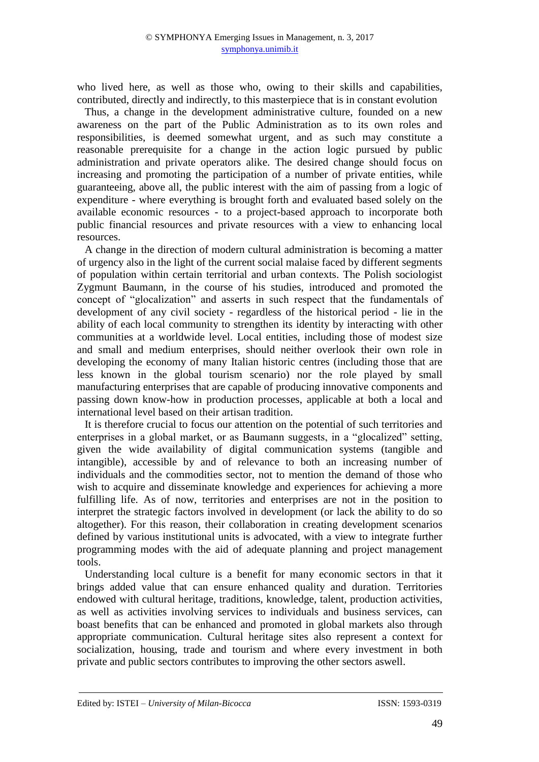who lived here, as well as those who, owing to their skills and capabilities, contributed, directly and indirectly, to this masterpiece that is in constant evolution

Thus, a change in the development administrative culture, founded on a new awareness on the part of the Public Administration as to its own roles and responsibilities, is deemed somewhat urgent, and as such may constitute a reasonable prerequisite for a change in the action logic pursued by public administration and private operators alike. The desired change should focus on increasing and promoting the participation of a number of private entities, while guaranteeing, above all, the public interest with the aim of passing from a logic of expenditure - where everything is brought forth and evaluated based solely on the available economic resources - to a project-based approach to incorporate both public financial resources and private resources with a view to enhancing local resources.

A change in the direction of modern cultural administration is becoming a matter of urgency also in the light of the current social malaise faced by different segments of population within certain territorial and urban contexts. The Polish sociologist Zygmunt Baumann, in the course of his studies, introduced and promoted the concept of "glocalization" and asserts in such respect that the fundamentals of development of any civil society - regardless of the historical period - lie in the ability of each local community to strengthen its identity by interacting with other communities at a worldwide level. Local entities, including those of modest size and small and medium enterprises, should neither overlook their own role in developing the economy of many Italian historic centres (including those that are less known in the global tourism scenario) nor the role played by small manufacturing enterprises that are capable of producing innovative components and passing down know-how in production processes, applicable at both a local and international level based on their artisan tradition.

It is therefore crucial to focus our attention on the potential of such territories and enterprises in a global market, or as Baumann suggests, in a "glocalized" setting, given the wide availability of digital communication systems (tangible and intangible), accessible by and of relevance to both an increasing number of individuals and the commodities sector, not to mention the demand of those who wish to acquire and disseminate knowledge and experiences for achieving a more fulfilling life. As of now, territories and enterprises are not in the position to interpret the strategic factors involved in development (or lack the ability to do so altogether). For this reason, their collaboration in creating development scenarios defined by various institutional units is advocated, with a view to integrate further programming modes with the aid of adequate planning and project management tools.

Understanding local culture is a benefit for many economic sectors in that it brings added value that can ensure enhanced quality and duration. Territories endowed with cultural heritage, traditions, knowledge, talent, production activities, as well as activities involving services to individuals and business services, can boast benefits that can be enhanced and promoted in global markets also through appropriate communication. Cultural heritage sites also represent a context for socialization, housing, trade and tourism and where every investment in both private and public sectors contributes to improving the other sectors aswell.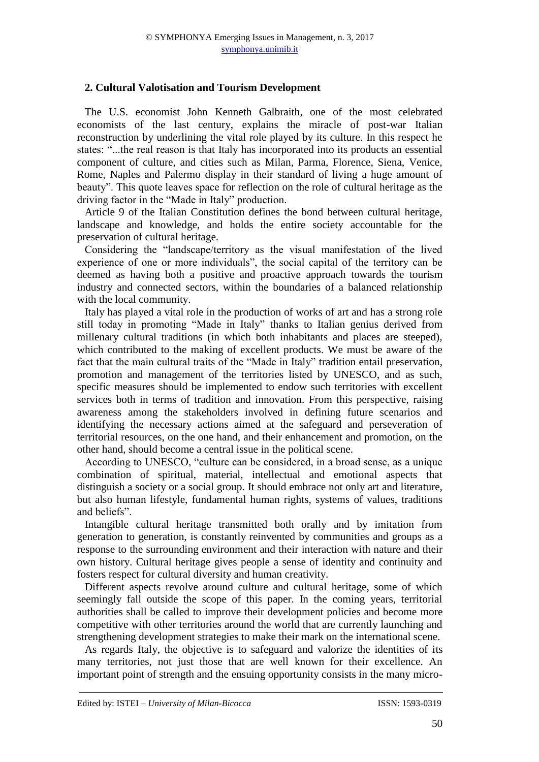## **2. Cultural Valotisation and Tourism Development**

The U.S. economist John Kenneth Galbraith, one of the most celebrated economists of the last century, explains the miracle of post-war Italian reconstruction by underlining the vital role played by its culture. In this respect he states: "...the real reason is that Italy has incorporated into its products an essential component of culture, and cities such as Milan, Parma, Florence, Siena, Venice, Rome, Naples and Palermo display in their standard of living a huge amount of beauty". This quote leaves space for reflection on the role of cultural heritage as the driving factor in the "Made in Italy" production.

Article 9 of the Italian Constitution defines the bond between cultural heritage, landscape and knowledge, and holds the entire society accountable for the preservation of cultural heritage.

Considering the "landscape/territory as the visual manifestation of the lived experience of one or more individuals", the social capital of the territory can be deemed as having both a positive and proactive approach towards the tourism industry and connected sectors, within the boundaries of a balanced relationship with the local community.

Italy has played a vital role in the production of works of art and has a strong role still today in promoting "Made in Italy" thanks to Italian genius derived from millenary cultural traditions (in which both inhabitants and places are steeped), which contributed to the making of excellent products. We must be aware of the fact that the main cultural traits of the "Made in Italy" tradition entail preservation, promotion and management of the territories listed by UNESCO, and as such, specific measures should be implemented to endow such territories with excellent services both in terms of tradition and innovation. From this perspective, raising awareness among the stakeholders involved in defining future scenarios and identifying the necessary actions aimed at the safeguard and perseveration of territorial resources, on the one hand, and their enhancement and promotion, on the other hand, should become a central issue in the political scene.

According to UNESCO, "culture can be considered, in a broad sense, as a unique combination of spiritual, material, intellectual and emotional aspects that distinguish a society or a social group. It should embrace not only art and literature, but also human lifestyle, fundamental human rights, systems of values, traditions and beliefs".

Intangible cultural heritage transmitted both orally and by imitation from generation to generation, is constantly reinvented by communities and groups as a response to the surrounding environment and their interaction with nature and their own history. Cultural heritage gives people a sense of identity and continuity and fosters respect for cultural diversity and human creativity.

Different aspects revolve around culture and cultural heritage, some of which seemingly fall outside the scope of this paper. In the coming years, territorial authorities shall be called to improve their development policies and become more competitive with other territories around the world that are currently launching and strengthening development strategies to make their mark on the international scene.

As regards Italy, the objective is to safeguard and valorize the identities of its many territories, not just those that are well known for their excellence. An important point of strength and the ensuing opportunity consists in the many micro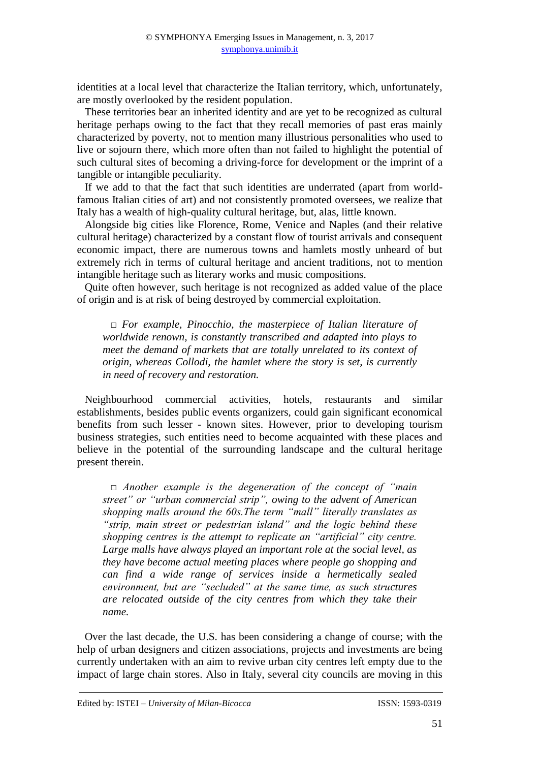identities at a local level that characterize the Italian territory, which, unfortunately, are mostly overlooked by the resident population.

These territories bear an inherited identity and are yet to be recognized as cultural heritage perhaps owing to the fact that they recall memories of past eras mainly characterized by poverty, not to mention many illustrious personalities who used to live or sojourn there, which more often than not failed to highlight the potential of such cultural sites of becoming a driving-force for development or the imprint of a tangible or intangible peculiarity.

If we add to that the fact that such identities are underrated (apart from worldfamous Italian cities of art) and not consistently promoted oversees, we realize that Italy has a wealth of high-quality cultural heritage, but, alas, little known.

Alongside big cities like Florence, Rome, Venice and Naples (and their relative cultural heritage) characterized by a constant flow of tourist arrivals and consequent economic impact, there are numerous towns and hamlets mostly unheard of but extremely rich in terms of cultural heritage and ancient traditions, not to mention intangible heritage such as literary works and music compositions.

Quite often however, such heritage is not recognized as added value of the place of origin and is at risk of being destroyed by commercial exploitation.

*□ For example, Pinocchio, the masterpiece of Italian literature of worldwide renown, is constantly transcribed and adapted into plays to meet the demand of markets that are totally unrelated to its context of origin, whereas Collodi, the hamlet where the story is set, is currently in need of recovery and restoration.*

Neighbourhood commercial activities, hotels, restaurants and similar establishments, besides public events organizers, could gain significant economical benefits from such lesser - known sites. However, prior to developing tourism business strategies, such entities need to become acquainted with these places and believe in the potential of the surrounding landscape and the cultural heritage present therein.

*□ Another example is the degeneration of the concept of "main street" or "urban commercial strip", owing to the advent of American shopping malls around the 60s.The term "mall" literally translates as "strip, main street or pedestrian island" and the logic behind these shopping centres is the attempt to replicate an "artificial" city centre. Large malls have always played an important role at the social level, as they have become actual meeting places where people go shopping and can find a wide range of services inside a hermetically sealed environment, but are "secluded" at the same time, as such structures are relocated outside of the city centres from which they take their name.*

Over the last decade, the U.S. has been considering a change of course; with the help of urban designers and citizen associations, projects and investments are being currently undertaken with an aim to revive urban city centres left empty due to the impact of large chain stores. Also in Italy, several city councils are moving in this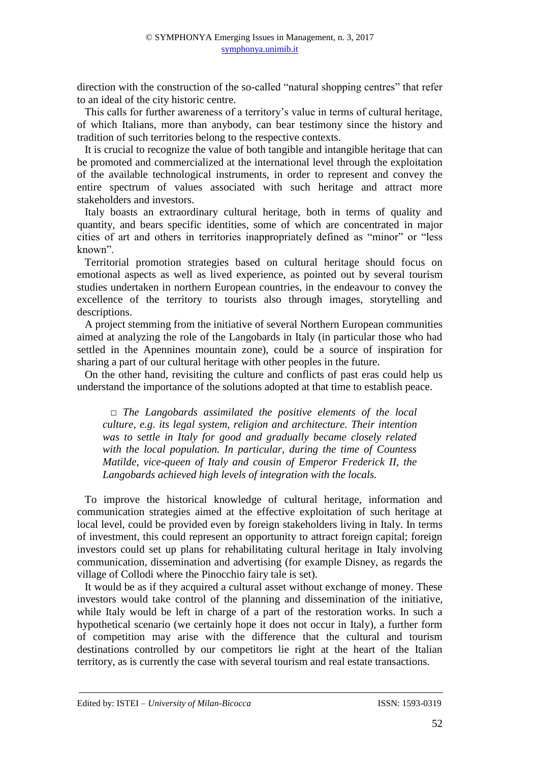direction with the construction of the so-called "natural shopping centres" that refer to an ideal of the city historic centre.

This calls for further awareness of a territory's value in terms of cultural heritage, of which Italians, more than anybody, can bear testimony since the history and tradition of such territories belong to the respective contexts.

It is crucial to recognize the value of both tangible and intangible heritage that can be promoted and commercialized at the international level through the exploitation of the available technological instruments, in order to represent and convey the entire spectrum of values associated with such heritage and attract more stakeholders and investors.

Italy boasts an extraordinary cultural heritage, both in terms of quality and quantity, and bears specific identities, some of which are concentrated in major cities of art and others in territories inappropriately defined as "minor" or "less known".

Territorial promotion strategies based on cultural heritage should focus on emotional aspects as well as lived experience, as pointed out by several tourism studies undertaken in northern European countries, in the endeavour to convey the excellence of the territory to tourists also through images, storytelling and descriptions.

A project stemming from the initiative of several Northern European communities aimed at analyzing the role of the Langobards in Italy (in particular those who had settled in the Apennines mountain zone), could be a source of inspiration for sharing a part of our cultural heritage with other peoples in the future.

On the other hand, revisiting the culture and conflicts of past eras could help us understand the importance of the solutions adopted at that time to establish peace.

*□ The Langobards assimilated the positive elements of the local culture, e.g. its legal system, religion and architecture. Their intention was to settle in Italy for good and gradually became closely related with the local population. In particular, during the time of Countess Matilde, vice-queen of Italy and cousin of Emperor Frederick II, the Langobards achieved high levels of integration with the locals.*

To improve the historical knowledge of cultural heritage, information and communication strategies aimed at the effective exploitation of such heritage at local level, could be provided even by foreign stakeholders living in Italy. In terms of investment, this could represent an opportunity to attract foreign capital; foreign investors could set up plans for rehabilitating cultural heritage in Italy involving communication, dissemination and advertising (for example Disney, as regards the village of Collodi where the Pinocchio fairy tale is set).

It would be as if they acquired a cultural asset without exchange of money. These investors would take control of the planning and dissemination of the initiative, while Italy would be left in charge of a part of the restoration works. In such a hypothetical scenario (we certainly hope it does not occur in Italy), a further form of competition may arise with the difference that the cultural and tourism destinations controlled by our competitors lie right at the heart of the Italian territory, as is currently the case with several tourism and real estate transactions.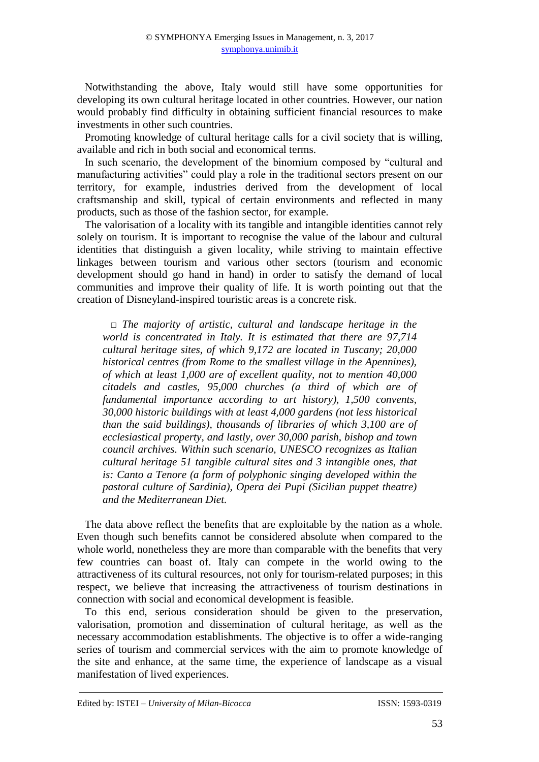Notwithstanding the above, Italy would still have some opportunities for developing its own cultural heritage located in other countries. However, our nation would probably find difficulty in obtaining sufficient financial resources to make investments in other such countries.

Promoting knowledge of cultural heritage calls for a civil society that is willing, available and rich in both social and economical terms.

In such scenario, the development of the binomium composed by "cultural and manufacturing activities" could play a role in the traditional sectors present on our territory, for example, industries derived from the development of local craftsmanship and skill, typical of certain environments and reflected in many products, such as those of the fashion sector, for example.

The valorisation of a locality with its tangible and intangible identities cannot rely solely on tourism. It is important to recognise the value of the labour and cultural identities that distinguish a given locality, while striving to maintain effective linkages between tourism and various other sectors (tourism and economic development should go hand in hand) in order to satisfy the demand of local communities and improve their quality of life. It is worth pointing out that the creation of Disneyland-inspired touristic areas is a concrete risk.

*□ The majority of artistic, cultural and landscape heritage in the world is concentrated in Italy. It is estimated that there are 97,714 cultural heritage sites, of which 9,172 are located in Tuscany; 20,000 historical centres (from Rome to the smallest village in the Apennines), of which at least 1,000 are of excellent quality, not to mention 40,000 citadels and castles, 95,000 churches (a third of which are of fundamental importance according to art history), 1,500 convents, 30,000 historic buildings with at least 4,000 gardens (not less historical than the said buildings), thousands of libraries of which 3,100 are of ecclesiastical property, and lastly, over 30,000 parish, bishop and town council archives. Within such scenario, UNESCO recognizes as Italian cultural heritage 51 tangible cultural sites and 3 intangible ones, that is: Canto a Tenore (a form of polyphonic singing developed within the pastoral culture of Sardinia), Opera dei Pupi (Sicilian puppet theatre) and the Mediterranean Diet.*

The data above reflect the benefits that are exploitable by the nation as a whole. Even though such benefits cannot be considered absolute when compared to the whole world, nonetheless they are more than comparable with the benefits that very few countries can boast of. Italy can compete in the world owing to the attractiveness of its cultural resources, not only for tourism-related purposes; in this respect, we believe that increasing the attractiveness of tourism destinations in connection with social and economical development is feasible.

To this end, serious consideration should be given to the preservation, valorisation, promotion and dissemination of cultural heritage, as well as the necessary accommodation establishments. The objective is to offer a wide-ranging series of tourism and commercial services with the aim to promote knowledge of the site and enhance, at the same time, the experience of landscape as a visual manifestation of lived experiences.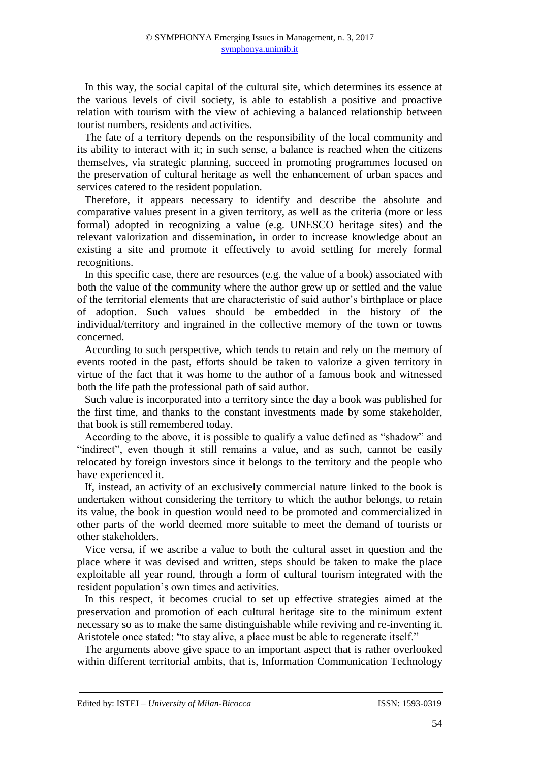In this way, the social capital of the cultural site, which determines its essence at the various levels of civil society, is able to establish a positive and proactive relation with tourism with the view of achieving a balanced relationship between tourist numbers, residents and activities.

The fate of a territory depends on the responsibility of the local community and its ability to interact with it; in such sense, a balance is reached when the citizens themselves, via strategic planning, succeed in promoting programmes focused on the preservation of cultural heritage as well the enhancement of urban spaces and services catered to the resident population.

Therefore, it appears necessary to identify and describe the absolute and comparative values present in a given territory, as well as the criteria (more or less formal) adopted in recognizing a value (e.g. UNESCO heritage sites) and the relevant valorization and dissemination, in order to increase knowledge about an existing a site and promote it effectively to avoid settling for merely formal recognitions.

In this specific case, there are resources (e.g. the value of a book) associated with both the value of the community where the author grew up or settled and the value of the territorial elements that are characteristic of said author's birthplace or place of adoption. Such values should be embedded in the history of the individual/territory and ingrained in the collective memory of the town or towns concerned.

According to such perspective, which tends to retain and rely on the memory of events rooted in the past, efforts should be taken to valorize a given territory in virtue of the fact that it was home to the author of a famous book and witnessed both the life path the professional path of said author.

Such value is incorporated into a territory since the day a book was published for the first time, and thanks to the constant investments made by some stakeholder, that book is still remembered today.

According to the above, it is possible to qualify a value defined as "shadow" and "indirect", even though it still remains a value, and as such, cannot be easily relocated by foreign investors since it belongs to the territory and the people who have experienced it.

If, instead, an activity of an exclusively commercial nature linked to the book is undertaken without considering the territory to which the author belongs, to retain its value, the book in question would need to be promoted and commercialized in other parts of the world deemed more suitable to meet the demand of tourists or other stakeholders.

Vice versa, if we ascribe a value to both the cultural asset in question and the place where it was devised and written, steps should be taken to make the place exploitable all year round, through a form of cultural tourism integrated with the resident population's own times and activities.

In this respect, it becomes crucial to set up effective strategies aimed at the preservation and promotion of each cultural heritage site to the minimum extent necessary so as to make the same distinguishable while reviving and re-inventing it. Aristotele once stated: "to stay alive, a place must be able to regenerate itself."

The arguments above give space to an important aspect that is rather overlooked within different territorial ambits, that is, Information Communication Technology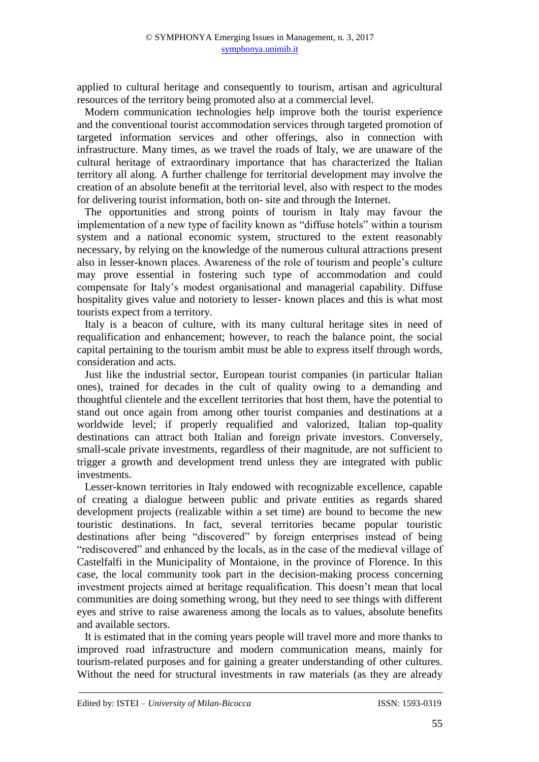applied to cultural heritage and consequently to tourism, artisan and agricultural resources of the territory being promoted also at a commercial level.

Modern communication technologies help improve both the tourist experience and the conventional tourist accommodation services through targeted promotion of targeted information services and other offerings, also in connection with infrastructure. Many times, as we travel the roads of Italy, we are unaware of the cultural heritage of extraordinary importance that has characterized the Italian territory all along. A further challenge for territorial development may involve the creation of an absolute benefit at the territorial level, also with respect to the modes for delivering tourist information, both on- site and through the Internet.

The opportunities and strong points of tourism in Italy may favour the implementation of a new type of facility known as "diffuse hotels" within a tourism system and a national economic system, structured to the extent reasonably necessary, by relying on the knowledge of the numerous cultural attractions present also in lesser-known places. Awareness of the role of tourism and people's culture may prove essential in fostering such type of accommodation and could compensate for Italy's modest organisational and managerial capability. Diffuse hospitality gives value and notoriety to lesser- known places and this is what most tourists expect from a territory.

Italy is a beacon of culture, with its many cultural heritage sites in need of requalification and enhancement; however, to reach the balance point, the social capital pertaining to the tourism ambit must be able to express itself through words, consideration and acts.

Just like the industrial sector, European tourist companies (in particular Italian ones), trained for decades in the cult of quality owing to a demanding and thoughtful clientele and the excellent territories that host them, have the potential to stand out once again from among other tourist companies and destinations at a worldwide level; if properly requalified and valorized, Italian top-quality destinations can attract both Italian and foreign private investors. Conversely, small-scale private investments, regardless of their magnitude, are not sufficient to trigger a growth and development trend unless they are integrated with public investments.

Lesser-known territories in Italy endowed with recognizable excellence, capable of creating a dialogue between public and private entities as regards shared development projects (realizable within a set time) are bound to become the new touristic destinations. In fact, several territories became popular touristic destinations after being "discovered" by foreign enterprises instead of being "rediscovered" and enhanced by the locals, as in the case of the medieval village of Castelfalfi in the Municipality of Montaione, in the province of Florence. In this case, the local community took part in the decision-making process concerning investment projects aimed at heritage requalification. This doesn't mean that local communities are doing something wrong, but they need to see things with different eyes and strive to raise awareness among the locals as to values, absolute benefits and available sectors.

It is estimated that in the coming years people will travel more and more thanks to improved road infrastructure and modern communication means, mainly for tourism-related purposes and for gaining a greater understanding of other cultures. Without the need for structural investments in raw materials (as they are already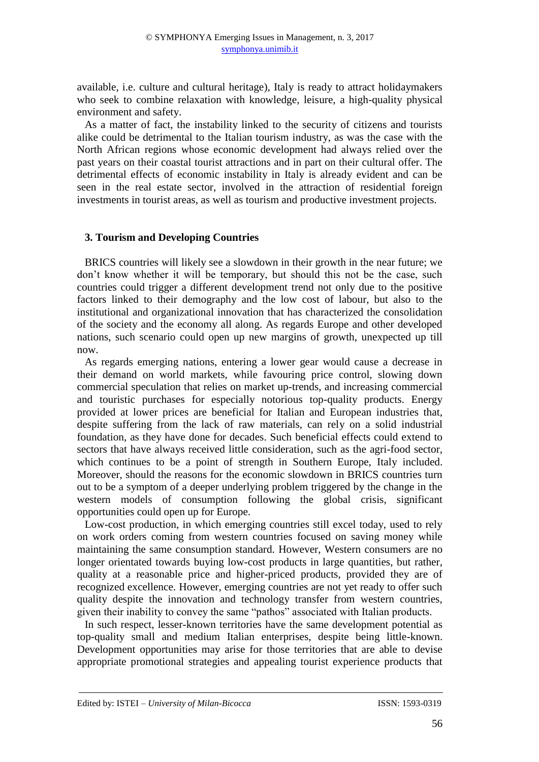available, i.e. culture and cultural heritage), Italy is ready to attract holidaymakers who seek to combine relaxation with knowledge, leisure, a high-quality physical environment and safety.

As a matter of fact, the instability linked to the security of citizens and tourists alike could be detrimental to the Italian tourism industry, as was the case with the North African regions whose economic development had always relied over the past years on their coastal tourist attractions and in part on their cultural offer. The detrimental effects of economic instability in Italy is already evident and can be seen in the real estate sector, involved in the attraction of residential foreign investments in tourist areas, as well as tourism and productive investment projects.

## **3. Tourism and Developing Countries**

BRICS countries will likely see a slowdown in their growth in the near future; we don't know whether it will be temporary, but should this not be the case, such countries could trigger a different development trend not only due to the positive factors linked to their demography and the low cost of labour, but also to the institutional and organizational innovation that has characterized the consolidation of the society and the economy all along. As regards Europe and other developed nations, such scenario could open up new margins of growth, unexpected up till now.

As regards emerging nations, entering a lower gear would cause a decrease in their demand on world markets, while favouring price control, slowing down commercial speculation that relies on market up-trends, and increasing commercial and touristic purchases for especially notorious top-quality products. Energy provided at lower prices are beneficial for Italian and European industries that, despite suffering from the lack of raw materials, can rely on a solid industrial foundation, as they have done for decades. Such beneficial effects could extend to sectors that have always received little consideration, such as the agri-food sector, which continues to be a point of strength in Southern Europe, Italy included. Moreover, should the reasons for the economic slowdown in BRICS countries turn out to be a symptom of a deeper underlying problem triggered by the change in the western models of consumption following the global crisis, significant opportunities could open up for Europe.

Low-cost production, in which emerging countries still excel today, used to rely on work orders coming from western countries focused on saving money while maintaining the same consumption standard. However, Western consumers are no longer orientated towards buying low-cost products in large quantities, but rather, quality at a reasonable price and higher-priced products, provided they are of recognized excellence. However, emerging countries are not yet ready to offer such quality despite the innovation and technology transfer from western countries, given their inability to convey the same "pathos" associated with Italian products.

In such respect, lesser-known territories have the same development potential as top-quality small and medium Italian enterprises, despite being little-known. Development opportunities may arise for those territories that are able to devise appropriate promotional strategies and appealing tourist experience products that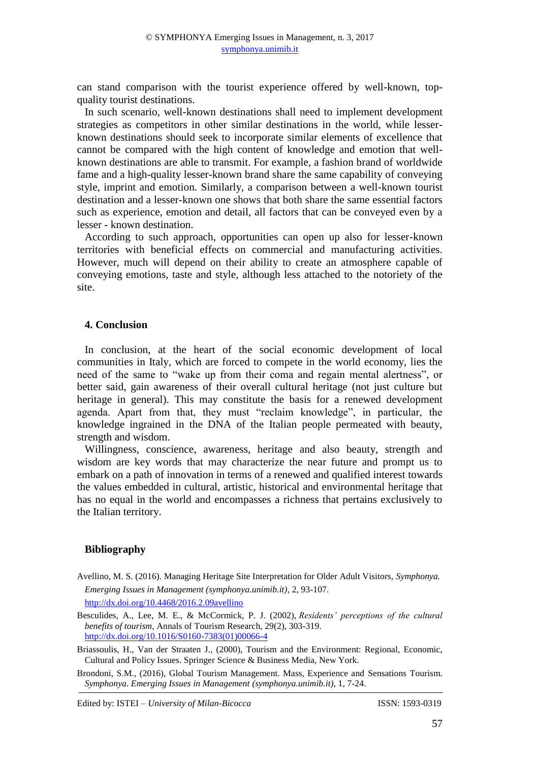can stand comparison with the tourist experience offered by well-known, topquality tourist destinations.

In such scenario, well-known destinations shall need to implement development strategies as competitors in other similar destinations in the world, while lesserknown destinations should seek to incorporate similar elements of excellence that cannot be compared with the high content of knowledge and emotion that wellknown destinations are able to transmit. For example, a fashion brand of worldwide fame and a high-quality lesser-known brand share the same capability of conveying style, imprint and emotion. Similarly, a comparison between a well-known tourist destination and a lesser-known one shows that both share the same essential factors such as experience, emotion and detail, all factors that can be conveyed even by a lesser - known destination.

According to such approach, opportunities can open up also for lesser-known territories with beneficial effects on commercial and manufacturing activities. However, much will depend on their ability to create an atmosphere capable of conveying emotions, taste and style, although less attached to the notoriety of the site.

#### **4. Conclusion**

In conclusion, at the heart of the social economic development of local communities in Italy, which are forced to compete in the world economy, lies the need of the same to "wake up from their coma and regain mental alertness", or better said, gain awareness of their overall cultural heritage (not just culture but heritage in general). This may constitute the basis for a renewed development agenda. Apart from that, they must "reclaim knowledge", in particular, the knowledge ingrained in the DNA of the Italian people permeated with beauty, strength and wisdom.

Willingness, conscience, awareness, heritage and also beauty, strength and wisdom are key words that may characterize the near future and prompt us to embark on a path of innovation in terms of a renewed and qualified interest towards the values embedded in cultural, artistic, historical and environmental heritage that has no equal in the world and encompasses a richness that pertains exclusively to the Italian territory.

#### **Bibliography**

- Avellino, M. S. (2016). Managing Heritage Site Interpretation for Older Adult Visitors, *Symphonya. Emerging Issues in Management (symphonya.unimib.it)*, 2, 93-107. <http://dx.doi.org/10.4468/2016.2.09avellino>
- Besculides, A., Lee, M. E., & McCormick, P. J. (2002), *Residents' perceptions of the cultural benefits of tourism*, Annals of Tourism Research, 29(2), 303-319. [http://dx.doi.org/10.1016/S0160-7383\(01\)00066-4](http://dx.doi.org/10.1016/S0160-7383(01)00066-4)
- Briassoulis, H., Van der Straaten J., (2000), Tourism and the Environment: Regional, Economic, Cultural and Policy Issues. Springer Science & Business Media, New York.
- Brondoni, S.M., (2016), Global Tourism Management. Mass, Experience and Sensations Tourism. *Symphonya. Emerging Issues in Management (symphonya.unimib.it)*, 1, 7-24.